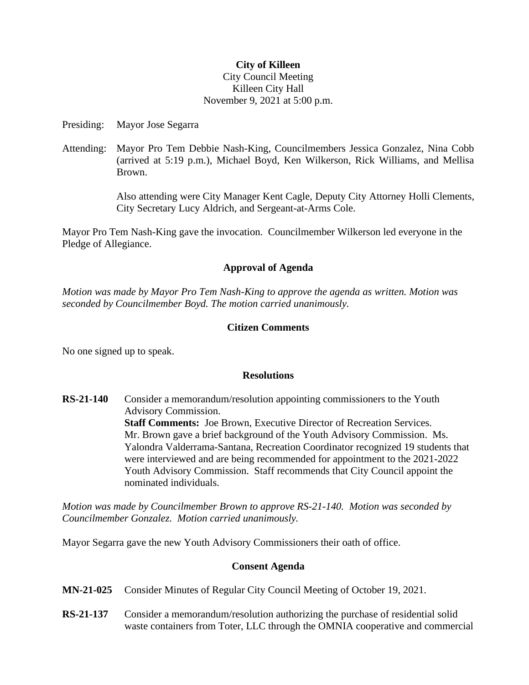#### **City of Killeen**

## City Council Meeting Killeen City Hall November 9, 2021 at 5:00 p.m.

Presiding: Mayor Jose Segarra

Attending: Mayor Pro Tem Debbie Nash-King, Councilmembers Jessica Gonzalez, Nina Cobb (arrived at 5:19 p.m.), Michael Boyd, Ken Wilkerson, Rick Williams, and Mellisa Brown.

> Also attending were City Manager Kent Cagle, Deputy City Attorney Holli Clements, City Secretary Lucy Aldrich, and Sergeant-at-Arms Cole.

Mayor Pro Tem Nash-King gave the invocation. Councilmember Wilkerson led everyone in the Pledge of Allegiance.

# **Approval of Agenda**

*Motion was made by Mayor Pro Tem Nash-King to approve the agenda as written. Motion was seconded by Councilmember Boyd. The motion carried unanimously.*

# **Citizen Comments**

No one signed up to speak.

## **Resolutions**

**RS-21-140** Consider a memorandum/resolution appointing commissioners to the Youth Advisory Commission. **Staff Comments:** Joe Brown, Executive Director of Recreation Services. Mr. Brown gave a brief background of the Youth Advisory Commission. Ms. Yalondra Valderrama-Santana, Recreation Coordinator recognized 19 students that were interviewed and are being recommended for appointment to the 2021-2022 Youth Advisory Commission. Staff recommends that City Council appoint the nominated individuals.

*Motion was made by Councilmember Brown to approve RS-21-140. Motion was seconded by Councilmember Gonzalez. Motion carried unanimously.*

Mayor Segarra gave the new Youth Advisory Commissioners their oath of office.

## **Consent Agenda**

- **MN-21-025** Consider Minutes of Regular City Council Meeting of October 19, 2021.
- **RS-21-137** Consider a memorandum/resolution authorizing the purchase of residential solid waste containers from Toter, LLC through the OMNIA cooperative and commercial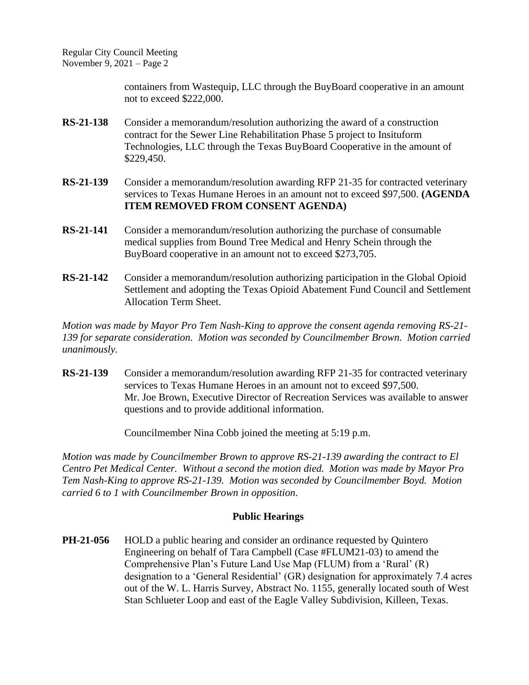Regular City Council Meeting November 9, 2021 – Page 2

> containers from Wastequip, LLC through the BuyBoard cooperative in an amount not to exceed \$222,000.

- **RS-21-138** Consider a memorandum/resolution authorizing the award of a construction contract for the Sewer Line Rehabilitation Phase 5 project to Insituform Technologies, LLC through the Texas BuyBoard Cooperative in the amount of \$229,450.
- **RS-21-139** Consider a memorandum/resolution awarding RFP 21-35 for contracted veterinary services to Texas Humane Heroes in an amount not to exceed \$97,500. **(AGENDA ITEM REMOVED FROM CONSENT AGENDA)**
- **RS-21-141** Consider a memorandum/resolution authorizing the purchase of consumable medical supplies from Bound Tree Medical and Henry Schein through the BuyBoard cooperative in an amount not to exceed \$273,705.
- **RS-21-142** Consider a memorandum/resolution authorizing participation in the Global Opioid Settlement and adopting the Texas Opioid Abatement Fund Council and Settlement Allocation Term Sheet.

*Motion was made by Mayor Pro Tem Nash-King to approve the consent agenda removing RS-21- 139 for separate consideration. Motion was seconded by Councilmember Brown. Motion carried unanimously.*

**RS-21-139** Consider a memorandum/resolution awarding RFP 21-35 for contracted veterinary services to Texas Humane Heroes in an amount not to exceed \$97,500. Mr. Joe Brown, Executive Director of Recreation Services was available to answer questions and to provide additional information.

Councilmember Nina Cobb joined the meeting at 5:19 p.m.

*Motion was made by Councilmember Brown to approve RS-21-139 awarding the contract to El Centro Pet Medical Center. Without a second the motion died. Motion was made by Mayor Pro Tem Nash-King to approve RS-21-139. Motion was seconded by Councilmember Boyd. Motion carried 6 to 1 with Councilmember Brown in opposition.*

## **Public Hearings**

**PH-21-056** HOLD a public hearing and consider an ordinance requested by Quintero Engineering on behalf of Tara Campbell (Case #FLUM21-03) to amend the Comprehensive Plan's Future Land Use Map (FLUM) from a 'Rural' (R) designation to a 'General Residential' (GR) designation for approximately 7.4 acres out of the W. L. Harris Survey, Abstract No. 1155, generally located south of West Stan Schlueter Loop and east of the Eagle Valley Subdivision, Killeen, Texas.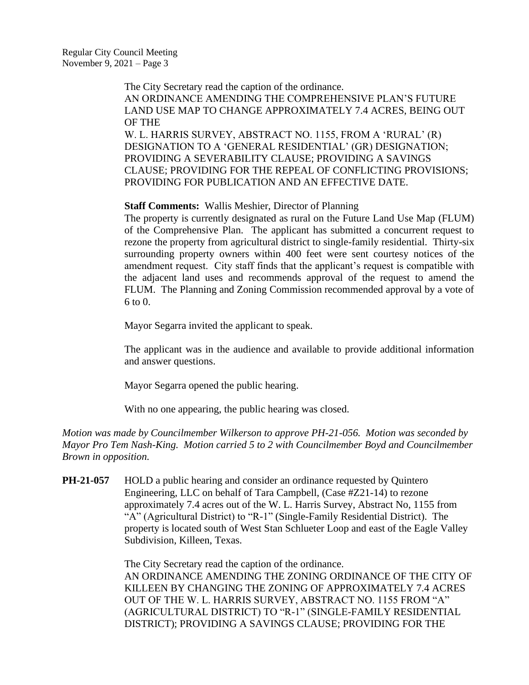The City Secretary read the caption of the ordinance. AN ORDINANCE AMENDING THE COMPREHENSIVE PLAN'S FUTURE LAND USE MAP TO CHANGE APPROXIMATELY 7.4 ACRES, BEING OUT OF THE W. L. HARRIS SURVEY, ABSTRACT NO. 1155, FROM A 'RURAL' (R) DESIGNATION TO A 'GENERAL RESIDENTIAL' (GR) DESIGNATION; PROVIDING A SEVERABILITY CLAUSE; PROVIDING A SAVINGS CLAUSE; PROVIDING FOR THE REPEAL OF CONFLICTING PROVISIONS; PROVIDING FOR PUBLICATION AND AN EFFECTIVE DATE.

#### **Staff Comments:** Wallis Meshier, Director of Planning

The property is currently designated as rural on the Future Land Use Map (FLUM) of the Comprehensive Plan. The applicant has submitted a concurrent request to rezone the property from agricultural district to single-family residential. Thirty-six surrounding property owners within 400 feet were sent courtesy notices of the amendment request. City staff finds that the applicant's request is compatible with the adjacent land uses and recommends approval of the request to amend the FLUM. The Planning and Zoning Commission recommended approval by a vote of  $6$  to  $0$ .

Mayor Segarra invited the applicant to speak.

The applicant was in the audience and available to provide additional information and answer questions.

Mayor Segarra opened the public hearing.

With no one appearing, the public hearing was closed.

*Motion was made by Councilmember Wilkerson to approve PH-21-056. Motion was seconded by Mayor Pro Tem Nash-King. Motion carried 5 to 2 with Councilmember Boyd and Councilmember Brown in opposition.*

**PH-21-057** HOLD a public hearing and consider an ordinance requested by Quintero Engineering, LLC on behalf of Tara Campbell, (Case #Z21-14) to rezone approximately 7.4 acres out of the W. L. Harris Survey, Abstract No, 1155 from "A" (Agricultural District) to "R-1" (Single-Family Residential District). The property is located south of West Stan Schlueter Loop and east of the Eagle Valley Subdivision, Killeen, Texas.

> The City Secretary read the caption of the ordinance. AN ORDINANCE AMENDING THE ZONING ORDINANCE OF THE CITY OF KILLEEN BY CHANGING THE ZONING OF APPROXIMATELY 7.4 ACRES OUT OF THE W. L. HARRIS SURVEY, ABSTRACT NO. 1155 FROM "A" (AGRICULTURAL DISTRICT) TO "R-1" (SINGLE-FAMILY RESIDENTIAL DISTRICT); PROVIDING A SAVINGS CLAUSE; PROVIDING FOR THE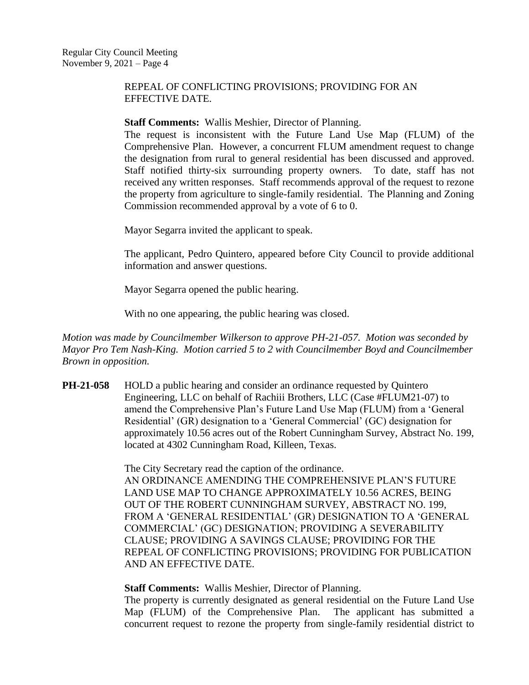## REPEAL OF CONFLICTING PROVISIONS; PROVIDING FOR AN EFFECTIVE DATE.

#### **Staff Comments:** Wallis Meshier, Director of Planning.

The request is inconsistent with the Future Land Use Map (FLUM) of the Comprehensive Plan. However, a concurrent FLUM amendment request to change the designation from rural to general residential has been discussed and approved. Staff notified thirty-six surrounding property owners. To date, staff has not received any written responses. Staff recommends approval of the request to rezone the property from agriculture to single-family residential. The Planning and Zoning Commission recommended approval by a vote of 6 to 0.

Mayor Segarra invited the applicant to speak.

The applicant, Pedro Quintero, appeared before City Council to provide additional information and answer questions.

Mayor Segarra opened the public hearing.

With no one appearing, the public hearing was closed.

*Motion was made by Councilmember Wilkerson to approve PH-21-057. Motion was seconded by Mayor Pro Tem Nash-King. Motion carried 5 to 2 with Councilmember Boyd and Councilmember Brown in opposition.*

**PH-21-058** HOLD a public hearing and consider an ordinance requested by Quintero Engineering, LLC on behalf of Rachiii Brothers, LLC (Case #FLUM21-07) to amend the Comprehensive Plan's Future Land Use Map (FLUM) from a 'General Residential' (GR) designation to a 'General Commercial' (GC) designation for approximately 10.56 acres out of the Robert Cunningham Survey, Abstract No. 199, located at 4302 Cunningham Road, Killeen, Texas.

> The City Secretary read the caption of the ordinance. AN ORDINANCE AMENDING THE COMPREHENSIVE PLAN'S FUTURE LAND USE MAP TO CHANGE APPROXIMATELY 10.56 ACRES, BEING OUT OF THE ROBERT CUNNINGHAM SURVEY, ABSTRACT NO. 199, FROM A 'GENERAL RESIDENTIAL' (GR) DESIGNATION TO A 'GENERAL COMMERCIAL' (GC) DESIGNATION; PROVIDING A SEVERABILITY CLAUSE; PROVIDING A SAVINGS CLAUSE; PROVIDING FOR THE REPEAL OF CONFLICTING PROVISIONS; PROVIDING FOR PUBLICATION AND AN EFFECTIVE DATE.

**Staff Comments:** Wallis Meshier, Director of Planning.

The property is currently designated as general residential on the Future Land Use Map (FLUM) of the Comprehensive Plan. The applicant has submitted a concurrent request to rezone the property from single-family residential district to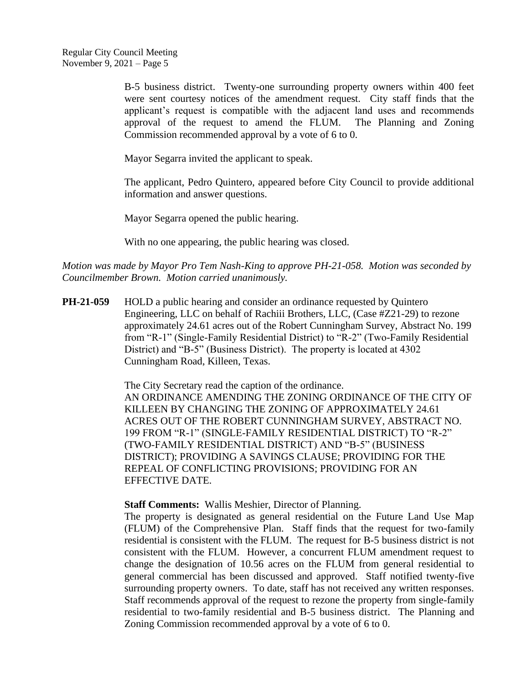B-5 business district. Twenty-one surrounding property owners within 400 feet were sent courtesy notices of the amendment request. City staff finds that the applicant's request is compatible with the adjacent land uses and recommends approval of the request to amend the FLUM. The Planning and Zoning Commission recommended approval by a vote of 6 to 0.

Mayor Segarra invited the applicant to speak.

The applicant, Pedro Quintero, appeared before City Council to provide additional information and answer questions.

Mayor Segarra opened the public hearing.

With no one appearing, the public hearing was closed.

*Motion was made by Mayor Pro Tem Nash-King to approve PH-21-058. Motion was seconded by Councilmember Brown. Motion carried unanimously.*

**PH-21-059** HOLD a public hearing and consider an ordinance requested by Quintero Engineering, LLC on behalf of Rachiii Brothers, LLC, (Case #Z21-29) to rezone approximately 24.61 acres out of the Robert Cunningham Survey, Abstract No. 199 from "R-1" (Single-Family Residential District) to "R-2" (Two-Family Residential District) and "B-5" (Business District). The property is located at 4302 Cunningham Road, Killeen, Texas.

> The City Secretary read the caption of the ordinance. AN ORDINANCE AMENDING THE ZONING ORDINANCE OF THE CITY OF KILLEEN BY CHANGING THE ZONING OF APPROXIMATELY 24.61 ACRES OUT OF THE ROBERT CUNNINGHAM SURVEY, ABSTRACT NO. 199 FROM "R-1" (SINGLE-FAMILY RESIDENTIAL DISTRICT) TO "R-2" (TWO-FAMILY RESIDENTIAL DISTRICT) AND "B-5" (BUSINESS DISTRICT); PROVIDING A SAVINGS CLAUSE; PROVIDING FOR THE REPEAL OF CONFLICTING PROVISIONS; PROVIDING FOR AN EFFECTIVE DATE.

**Staff Comments:** Wallis Meshier, Director of Planning.

The property is designated as general residential on the Future Land Use Map (FLUM) of the Comprehensive Plan. Staff finds that the request for two-family residential is consistent with the FLUM. The request for B-5 business district is not consistent with the FLUM. However, a concurrent FLUM amendment request to change the designation of 10.56 acres on the FLUM from general residential to general commercial has been discussed and approved. Staff notified twenty-five surrounding property owners. To date, staff has not received any written responses. Staff recommends approval of the request to rezone the property from single-family residential to two-family residential and B-5 business district. The Planning and Zoning Commission recommended approval by a vote of 6 to 0.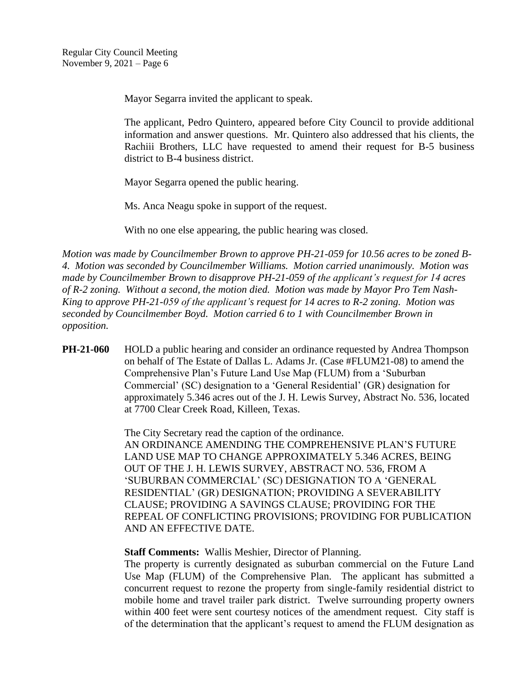Mayor Segarra invited the applicant to speak.

The applicant, Pedro Quintero, appeared before City Council to provide additional information and answer questions. Mr. Quintero also addressed that his clients, the Rachiii Brothers, LLC have requested to amend their request for B-5 business district to B-4 business district.

Mayor Segarra opened the public hearing.

Ms. Anca Neagu spoke in support of the request.

With no one else appearing, the public hearing was closed.

*Motion was made by Councilmember Brown to approve PH-21-059 for 10.56 acres to be zoned B-4. Motion was seconded by Councilmember Williams. Motion carried unanimously. Motion was made by Councilmember Brown to disapprove PH-21-059 of the applicant's request for 14 acres of R-2 zoning. Without a second, the motion died. Motion was made by Mayor Pro Tem Nash-King to approve PH-21-059 of the applicant's request for 14 acres to R-2 zoning. Motion was seconded by Councilmember Boyd. Motion carried 6 to 1 with Councilmember Brown in opposition.*

**PH-21-060** HOLD a public hearing and consider an ordinance requested by Andrea Thompson on behalf of The Estate of Dallas L. Adams Jr. (Case #FLUM21-08) to amend the Comprehensive Plan's Future Land Use Map (FLUM) from a 'Suburban Commercial' (SC) designation to a 'General Residential' (GR) designation for approximately 5.346 acres out of the J. H. Lewis Survey, Abstract No. 536, located at 7700 Clear Creek Road, Killeen, Texas.

> The City Secretary read the caption of the ordinance. AN ORDINANCE AMENDING THE COMPREHENSIVE PLAN'S FUTURE LAND USE MAP TO CHANGE APPROXIMATELY 5.346 ACRES, BEING OUT OF THE J. H. LEWIS SURVEY, ABSTRACT NO. 536, FROM A 'SUBURBAN COMMERCIAL' (SC) DESIGNATION TO A 'GENERAL RESIDENTIAL' (GR) DESIGNATION; PROVIDING A SEVERABILITY CLAUSE; PROVIDING A SAVINGS CLAUSE; PROVIDING FOR THE REPEAL OF CONFLICTING PROVISIONS; PROVIDING FOR PUBLICATION AND AN EFFECTIVE DATE.

**Staff Comments:** Wallis Meshier, Director of Planning.

The property is currently designated as suburban commercial on the Future Land Use Map (FLUM) of the Comprehensive Plan. The applicant has submitted a concurrent request to rezone the property from single-family residential district to mobile home and travel trailer park district. Twelve surrounding property owners within 400 feet were sent courtesy notices of the amendment request. City staff is of the determination that the applicant's request to amend the FLUM designation as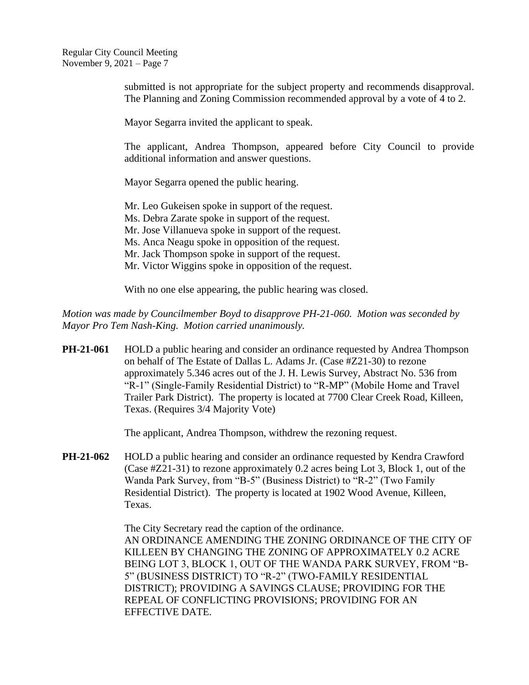Regular City Council Meeting November 9, 2021 – Page 7

> submitted is not appropriate for the subject property and recommends disapproval. The Planning and Zoning Commission recommended approval by a vote of 4 to 2.

Mayor Segarra invited the applicant to speak.

The applicant, Andrea Thompson, appeared before City Council to provide additional information and answer questions.

Mayor Segarra opened the public hearing.

Mr. Leo Gukeisen spoke in support of the request. Ms. Debra Zarate spoke in support of the request. Mr. Jose Villanueva spoke in support of the request. Ms. Anca Neagu spoke in opposition of the request. Mr. Jack Thompson spoke in support of the request. Mr. Victor Wiggins spoke in opposition of the request.

With no one else appearing, the public hearing was closed.

*Motion was made by Councilmember Boyd to disapprove PH-21-060. Motion was seconded by Mayor Pro Tem Nash-King. Motion carried unanimously.*

**PH-21-061** HOLD a public hearing and consider an ordinance requested by Andrea Thompson on behalf of The Estate of Dallas L. Adams Jr. (Case #Z21-30) to rezone approximately 5.346 acres out of the J. H. Lewis Survey, Abstract No. 536 from "R-1" (Single-Family Residential District) to "R-MP" (Mobile Home and Travel Trailer Park District). The property is located at 7700 Clear Creek Road, Killeen, Texas. (Requires 3/4 Majority Vote)

The applicant, Andrea Thompson, withdrew the rezoning request.

**PH-21-062** HOLD a public hearing and consider an ordinance requested by Kendra Crawford (Case #Z21-31) to rezone approximately 0.2 acres being Lot 3, Block 1, out of the Wanda Park Survey, from "B-5" (Business District) to "R-2" (Two Family Residential District). The property is located at 1902 Wood Avenue, Killeen, Texas.

> The City Secretary read the caption of the ordinance. AN ORDINANCE AMENDING THE ZONING ORDINANCE OF THE CITY OF KILLEEN BY CHANGING THE ZONING OF APPROXIMATELY 0.2 ACRE BEING LOT 3, BLOCK 1, OUT OF THE WANDA PARK SURVEY, FROM "B-5" (BUSINESS DISTRICT) TO "R-2" (TWO-FAMILY RESIDENTIAL DISTRICT); PROVIDING A SAVINGS CLAUSE; PROVIDING FOR THE REPEAL OF CONFLICTING PROVISIONS; PROVIDING FOR AN EFFECTIVE DATE.